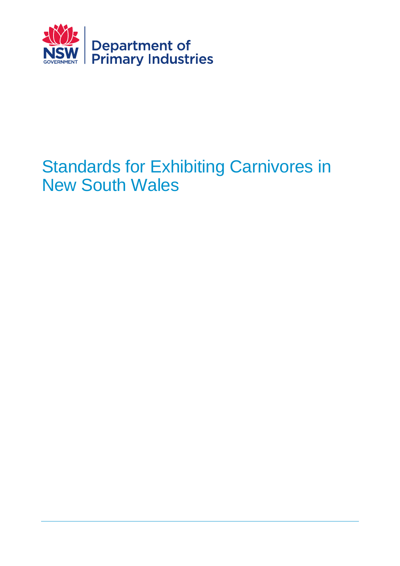

# Standards for Exhibiting Carnivores in New South Wales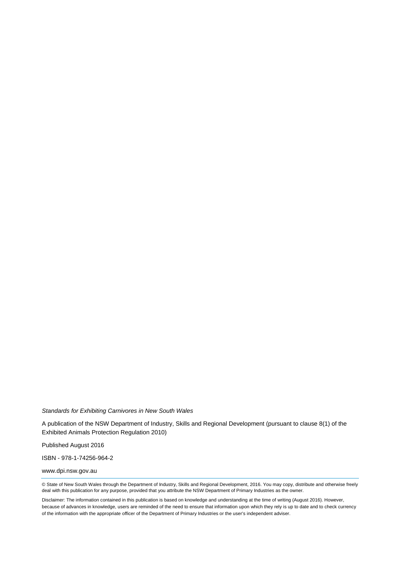*Standards for Exhibiting Carnivores in New South Wales*

A publication of the NSW Department of Industry, Skills and Regional Development (pursuant to clause 8(1) of the Exhibited Animals Protection Regulation 2010)

Published August 2016

ISBN - 978-1-74256-964-2

www.dpi.nsw.gov.au

© State of New South Wales through the Department of Industry, Skills and Regional Development, 2016. You may copy, distribute and otherwise freely deal with this publication for any purpose, provided that you attribute the NSW Department of Primary Industries as the owner.

Disclaimer: The information contained in this publication is based on knowledge and understanding at the time of writing (August 2016). However, because of advances in knowledge, users are reminded of the need to ensure that information upon which they rely is up to date and to check currency of the information with the appropriate officer of the Department of Primary Industries or the user's independent adviser.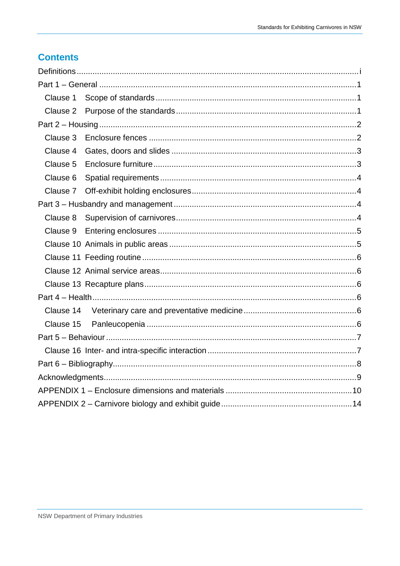## **Contents**

| Clause 1  |  |
|-----------|--|
| Clause 2  |  |
|           |  |
| Clause 3  |  |
| Clause 4  |  |
| Clause 5  |  |
| Clause 6  |  |
| Clause 7  |  |
|           |  |
| Clause 8  |  |
| Clause 9  |  |
|           |  |
|           |  |
|           |  |
|           |  |
|           |  |
| Clause 14 |  |
| Clause 15 |  |
|           |  |
|           |  |
|           |  |
|           |  |
|           |  |
|           |  |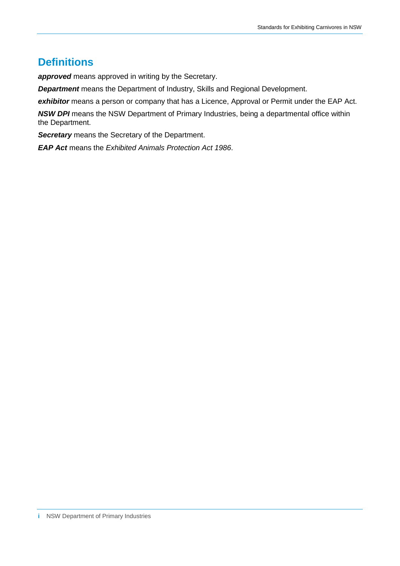## **Definitions**

*approved* means approved in writing by the Secretary.

*Department* means the Department of Industry, Skills and Regional Development.

exhibitor means a person or company that has a Licence, Approval or Permit under the EAP Act.

**NSW DPI** means the NSW Department of Primary Industries, being a departmental office within the Department.

*Secretary* means the Secretary of the Department.

*EAP Act* means the *Exhibited Animals Protection Act 1986*.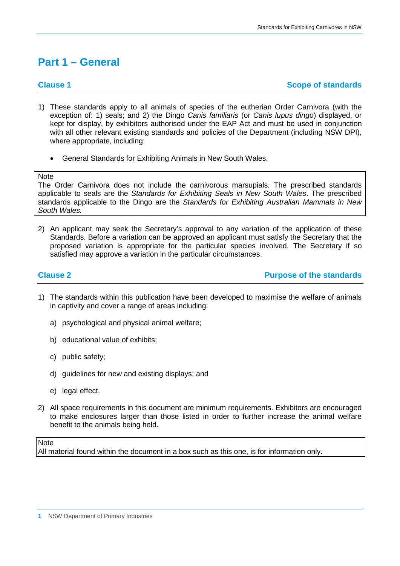## **Part 1 – General**

### **Clause 1 Scope of standards**

- 1) These standards apply to all animals of species of the eutherian Order Carnivora (with the exception of: 1) seals; and 2) the Dingo *Canis familiaris* (or *Canis lupus dingo*) displayed, or kept for display, by exhibitors authorised under the EAP Act and must be used in conjunction with all other relevant existing standards and policies of the Department (including NSW DPI), where appropriate, including:
	- General Standards for Exhibiting Animals in New South Wales.

**Note** 

The Order Carnivora does not include the carnivorous marsupials. The prescribed standards applicable to seals are the *Standards for Exhibiting Seals in New South Wales*. The prescribed standards applicable to the Dingo are the *Standards for Exhibiting Australian Mammals in New South Wales.*

2) An applicant may seek the Secretary's approval to any variation of the application of these Standards. Before a variation can be approved an applicant must satisfy the Secretary that the proposed variation is appropriate for the particular species involved. The Secretary if so satisfied may approve a variation in the particular circumstances.

**Clause 2 Purpose of the standards** 

- 1) The standards within this publication have been developed to maximise the welfare of animals in captivity and cover a range of areas including:
	- a) psychological and physical animal welfare;
	- b) educational value of exhibits;
	- c) public safety;
	- d) guidelines for new and existing displays; and
	- e) legal effect.
- 2) All space requirements in this document are minimum requirements. Exhibitors are encouraged to make enclosures larger than those listed in order to further increase the animal welfare benefit to the animals being held.

### **Note**

All material found within the document in a box such as this one, is for information only.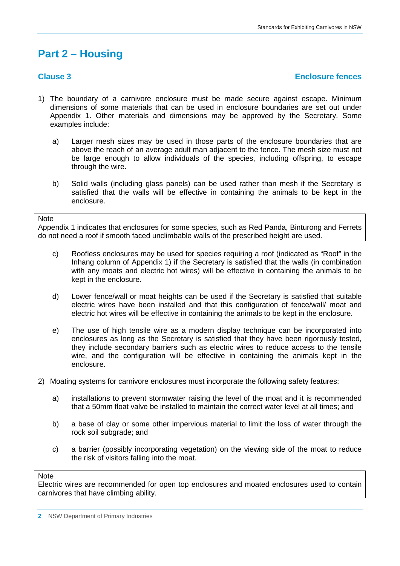## **Part 2 – Housing**

### **Clause 3 Enclosure fences**

- 1) The boundary of a carnivore enclosure must be made secure against escape. Minimum dimensions of some materials that can be used in enclosure boundaries are set out under Appendix 1. Other materials and dimensions may be approved by the Secretary. Some examples include:
	- a) Larger mesh sizes may be used in those parts of the enclosure boundaries that are above the reach of an average adult man adjacent to the fence. The mesh size must not be large enough to allow individuals of the species, including offspring, to escape through the wire.
	- b) Solid walls (including glass panels) can be used rather than mesh if the Secretary is satisfied that the walls will be effective in containing the animals to be kept in the enclosure.

### **Note**

Appendix 1 indicates that enclosures for some species, such as Red Panda, Binturong and Ferrets do not need a roof if smooth faced unclimbable walls of the prescribed height are used.

- c) Roofless enclosures may be used for species requiring a roof (indicated as "Roof" in the Inhang column of Appendix 1) if the Secretary is satisfied that the walls (in combination with any moats and electric hot wires) will be effective in containing the animals to be kept in the enclosure.
- d) Lower fence/wall or moat heights can be used if the Secretary is satisfied that suitable electric wires have been installed and that this configuration of fence/wall/ moat and electric hot wires will be effective in containing the animals to be kept in the enclosure.
- e) The use of high tensile wire as a modern display technique can be incorporated into enclosures as long as the Secretary is satisfied that they have been rigorously tested, they include secondary barriers such as electric wires to reduce access to the tensile wire, and the configuration will be effective in containing the animals kept in the enclosure.
- 2) Moating systems for carnivore enclosures must incorporate the following safety features:
	- a) installations to prevent stormwater raising the level of the moat and it is recommended that a 50mm float valve be installed to maintain the correct water level at all times; and
	- b) a base of clay or some other impervious material to limit the loss of water through the rock soil subgrade; and
	- c) a barrier (possibly incorporating vegetation) on the viewing side of the moat to reduce the risk of visitors falling into the moat.

### **Note**

Electric wires are recommended for open top enclosures and moated enclosures used to contain carnivores that have climbing ability.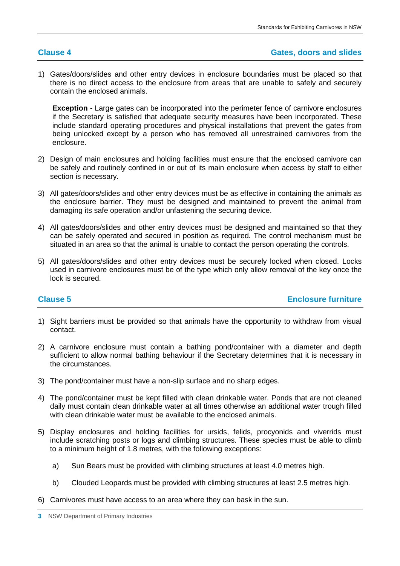1) Gates/doors/slides and other entry devices in enclosure boundaries must be placed so that there is no direct access to the enclosure from areas that are unable to safely and securely contain the enclosed animals.

**Exception** - Large gates can be incorporated into the perimeter fence of carnivore enclosures if the Secretary is satisfied that adequate security measures have been incorporated. These include standard operating procedures and physical installations that prevent the gates from being unlocked except by a person who has removed all unrestrained carnivores from the enclosure.

- 2) Design of main enclosures and holding facilities must ensure that the enclosed carnivore can be safely and routinely confined in or out of its main enclosure when access by staff to either section is necessary.
- 3) All gates/doors/slides and other entry devices must be as effective in containing the animals as the enclosure barrier. They must be designed and maintained to prevent the animal from damaging its safe operation and/or unfastening the securing device.
- 4) All gates/doors/slides and other entry devices must be designed and maintained so that they can be safely operated and secured in position as required. The control mechanism must be situated in an area so that the animal is unable to contact the person operating the controls.
- 5) All gates/doors/slides and other entry devices must be securely locked when closed. Locks used in carnivore enclosures must be of the type which only allow removal of the key once the lock is secured.

**Clause 5 Enclosure furniture**

- 1) Sight barriers must be provided so that animals have the opportunity to withdraw from visual contact.
- 2) A carnivore enclosure must contain a bathing pond/container with a diameter and depth sufficient to allow normal bathing behaviour if the Secretary determines that it is necessary in the circumstances.
- 3) The pond/container must have a non-slip surface and no sharp edges.
- 4) The pond/container must be kept filled with clean drinkable water. Ponds that are not cleaned daily must contain clean drinkable water at all times otherwise an additional water trough filled with clean drinkable water must be available to the enclosed animals.
- 5) Display enclosures and holding facilities for ursids, felids, procyonids and viverrids must include scratching posts or logs and climbing structures. These species must be able to climb to a minimum height of 1.8 metres, with the following exceptions:
	- a) Sun Bears must be provided with climbing structures at least 4.0 metres high.
	- b) Clouded Leopards must be provided with climbing structures at least 2.5 metres high.
- 6) Carnivores must have access to an area where they can bask in the sun.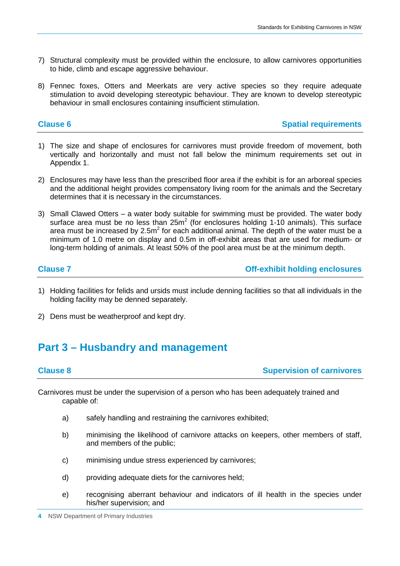- 7) Structural complexity must be provided within the enclosure, to allow carnivores opportunities to hide, climb and escape aggressive behaviour.
- 8) Fennec foxes, Otters and Meerkats are very active species so they require adequate stimulation to avoid developing stereotypic behaviour. They are known to develop stereotypic behaviour in small enclosures containing insufficient stimulation.

### **Clause 6 Spatial requirements**

- 1) The size and shape of enclosures for carnivores must provide freedom of movement, both vertically and horizontally and must not fall below the minimum requirements set out in Appendix 1.
- 2) Enclosures may have less than the prescribed floor area if the exhibit is for an arboreal species and the additional height provides compensatory living room for the animals and the Secretary determines that it is necessary in the circumstances.
- 3) Small Clawed Otters a water body suitable for swimming must be provided. The water body surface area must be no less than  $25m^2$  (for enclosures holding 1-10 animals). This surface area must be increased by  $2.5m<sup>2</sup>$  for each additional animal. The depth of the water must be a minimum of 1.0 metre on display and 0.5m in off-exhibit areas that are used for medium- or long-term holding of animals. At least 50% of the pool area must be at the minimum depth.

**Clause 7 Off-exhibit holding enclosures**

- 1) Holding facilities for felids and ursids must include denning facilities so that all individuals in the holding facility may be denned separately.
- 2) Dens must be weatherproof and kept dry.

## **Part 3 – Husbandry and management**

### **Clause 8 Supervision of carnivores**

Carnivores must be under the supervision of a person who has been adequately trained and capable of:

- a) safely handling and restraining the carnivores exhibited;
- b) minimising the likelihood of carnivore attacks on keepers, other members of staff, and members of the public;
- c) minimising undue stress experienced by carnivores;
- d) providing adequate diets for the carnivores held;
- e) recognising aberrant behaviour and indicators of ill health in the species under his/her supervision; and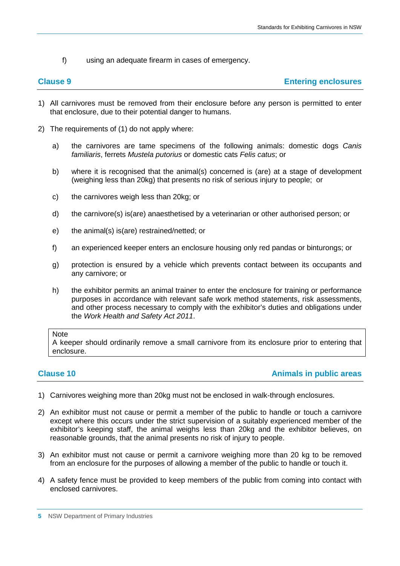f) using an adequate firearm in cases of emergency.

## **Clause 9 Entering enclosures**

- 1) All carnivores must be removed from their enclosure before any person is permitted to enter that enclosure, due to their potential danger to humans.
- 2) The requirements of (1) do not apply where:
	- a) the carnivores are tame specimens of the following animals: domestic dogs *Canis familiaris*, ferrets *Mustela putorius* or domestic cats *Felis catus*; or
	- b) where it is recognised that the animal(s) concerned is (are) at a stage of development (weighing less than 20kg) that presents no risk of serious injury to people; or
	- c) the carnivores weigh less than 20kg; or
	- d) the carnivore(s) is(are) anaesthetised by a veterinarian or other authorised person; or
	- e) the animal(s) is(are) restrained/netted; or
	- f) an experienced keeper enters an enclosure housing only red pandas or binturongs; or
	- g) protection is ensured by a vehicle which prevents contact between its occupants and any carnivore; or
	- h) the exhibitor permits an animal trainer to enter the enclosure for training or performance purposes in accordance with relevant safe work method statements, risk assessments, and other process necessary to comply with the exhibitor's duties and obligations under the *Work Health and Safety Act 2011*.

### **Note**

A keeper should ordinarily remove a small carnivore from its enclosure prior to entering that enclosure.

### **Clause 10 Animals in public areas**

- 1) Carnivores weighing more than 20kg must not be enclosed in walk-through enclosures.
- 2) An exhibitor must not cause or permit a member of the public to handle or touch a carnivore except where this occurs under the strict supervision of a suitably experienced member of the exhibitor's keeping staff, the animal weighs less than 20kg and the exhibitor believes, on reasonable grounds, that the animal presents no risk of injury to people.
- 3) An exhibitor must not cause or permit a carnivore weighing more than 20 kg to be removed from an enclosure for the purposes of allowing a member of the public to handle or touch it.
- 4) A safety fence must be provided to keep members of the public from coming into contact with enclosed carnivores.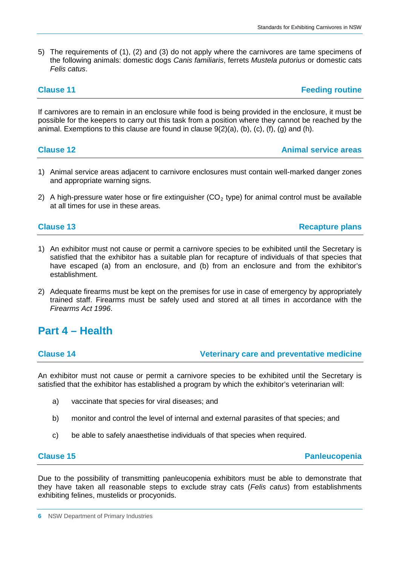5) The requirements of (1), (2) and (3) do not apply where the carnivores are tame specimens of the following animals: domestic dogs *Canis familiaris*, ferrets *Mustela putorius* or domestic cats *Felis catus*.

**Clause 11 Feeding routine** 

**Clause 12 Animal service areas**

If carnivores are to remain in an enclosure while food is being provided in the enclosure, it must be possible for the keepers to carry out this task from a position where they cannot be reached by the animal. Exemptions to this clause are found in clause  $9(2)(a)$ ,  $(b)$ ,  $(c)$ ,  $(f)$ ,  $(g)$  and  $(h)$ .

| <b>Clause 12</b> |  |  |  |  |  |
|------------------|--|--|--|--|--|
|                  |  |  |  |  |  |

- 1) Animal service areas adjacent to carnivore enclosures must contain well-marked danger zones and appropriate warning signs.
- 2) A high-pressure water hose or fire extinguisher  $(CO<sub>2</sub>$  type) for animal control must be available at all times for use in these areas.

**Clause 13 Recapture plans** 

- 1) An exhibitor must not cause or permit a carnivore species to be exhibited until the Secretary is satisfied that the exhibitor has a suitable plan for recapture of individuals of that species that have escaped (a) from an enclosure, and (b) from an enclosure and from the exhibitor's establishment.
- 2) Adequate firearms must be kept on the premises for use in case of emergency by appropriately trained staff. Firearms must be safely used and stored at all times in accordance with the *Firearms Act 1996*.

## **Part 4 – Health**

**Clause 14 Veterinary care and preventative medicine**

An exhibitor must not cause or permit a carnivore species to be exhibited until the Secretary is satisfied that the exhibitor has established a program by which the exhibitor's veterinarian will:

- a) vaccinate that species for viral diseases; and
- b) monitor and control the level of internal and external parasites of that species; and
- c) be able to safely anaesthetise individuals of that species when required.

**Clause 15 Panleucopenia** 

Due to the possibility of transmitting panleucopenia exhibitors must be able to demonstrate that they have taken all reasonable steps to exclude stray cats (*Felis catus*) from establishments exhibiting felines, mustelids or procyonids.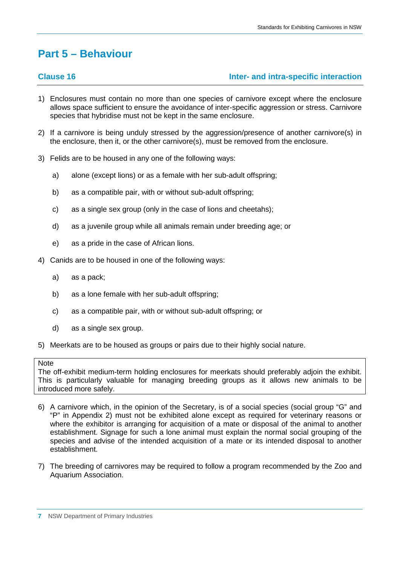## **Part 5 – Behaviour**

### **Clause 16 Inter- and intra-specific interaction**

- 1) Enclosures must contain no more than one species of carnivore except where the enclosure allows space sufficient to ensure the avoidance of inter-specific aggression or stress. Carnivore species that hybridise must not be kept in the same enclosure.
- 2) If a carnivore is being unduly stressed by the aggression/presence of another carnivore(s) in the enclosure, then it, or the other carnivore(s), must be removed from the enclosure.
- 3) Felids are to be housed in any one of the following ways:
	- a) alone (except lions) or as a female with her sub-adult offspring;
	- b) as a compatible pair, with or without sub-adult offspring;
	- c) as a single sex group (only in the case of lions and cheetahs);
	- d) as a juvenile group while all animals remain under breeding age; or
	- e) as a pride in the case of African lions.
- 4) Canids are to be housed in one of the following ways:
	- a) as a pack;
	- b) as a lone female with her sub-adult offspring;
	- c) as a compatible pair, with or without sub-adult offspring; or
	- d) as a single sex group.
- 5) Meerkats are to be housed as groups or pairs due to their highly social nature.

### **Note**

The off-exhibit medium-term holding enclosures for meerkats should preferably adjoin the exhibit. This is particularly valuable for managing breeding groups as it allows new animals to be introduced more safely.

- 6) A carnivore which, in the opinion of the Secretary, is of a social species (social group "G" and "P" in Appendix 2) must not be exhibited alone except as required for veterinary reasons or where the exhibitor is arranging for acquisition of a mate or disposal of the animal to another establishment. Signage for such a lone animal must explain the normal social grouping of the species and advise of the intended acquisition of a mate or its intended disposal to another establishment.
- 7) The breeding of carnivores may be required to follow a program recommended by the Zoo and Aquarium Association.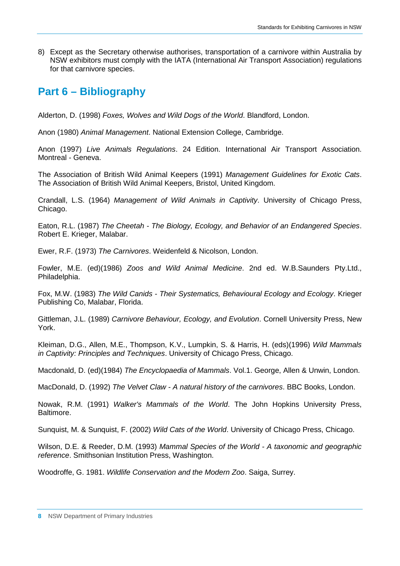8) Except as the Secretary otherwise authorises, transportation of a carnivore within Australia by NSW exhibitors must comply with the IATA (International Air Transport Association) regulations for that carnivore species.

## **Part 6 – Bibliography**

Alderton, D. (1998) *Foxes, Wolves and Wild Dogs of the World*. Blandford, London.

Anon (1980) *Animal Management*. National Extension College, Cambridge.

Anon (1997) *Live Animals Regulations*. 24 Edition. International Air Transport Association. Montreal - Geneva.

The Association of British Wild Animal Keepers (1991) *Management Guidelines for Exotic Cats*. The Association of British Wild Animal Keepers, Bristol, United Kingdom.

Crandall, L.S. (1964) *Management of Wild Animals in Captivity*. University of Chicago Press, Chicago.

Eaton, R.L. (1987) *The Cheetah - The Biology, Ecology, and Behavior of an Endangered Species*. Robert E. Krieger, Malabar.

Ewer, R.F. (1973) *The Carnivores*. Weidenfeld & Nicolson, London.

Fowler, M.E. (ed)(1986) *Zoos and Wild Animal Medicine*. 2nd ed. W.B.Saunders Pty.Ltd., Philadelphia.

Fox, M.W. (1983) *The Wild Canids - Their Systematics, Behavioural Ecology and Ecology*. Krieger Publishing Co, Malabar, Florida.

Gittleman, J.L. (1989) *Carnivore Behaviour, Ecology, and Evolution*. Cornell University Press, New York.

Kleiman, D.G., Allen, M.E., Thompson, K.V., Lumpkin, S. & Harris, H. (eds)(1996) *Wild Mammals in Captivity: Principles and Techniques*. University of Chicago Press, Chicago.

Macdonald, D. (ed)(1984) *The Encyclopaedia of Mammals*. Vol.1. George, Allen & Unwin, London.

MacDonald, D. (1992) *The Velvet Claw - A natural history of the carnivores*. BBC Books, London.

Nowak, R.M. (1991) *Walker's Mammals of the World*. The John Hopkins University Press, Baltimore.

Sunquist, M. & Sunquist, F. (2002) *Wild Cats of the World*. University of Chicago Press, Chicago.

Wilson, D.E. & Reeder, D.M. (1993) *Mammal Species of the World - A taxonomic and geographic reference*. Smithsonian Institution Press, Washington.

Woodroffe, G. 1981. *Wildlife Conservation and the Modern Zoo*. Saiga, Surrey.

**<sup>8</sup>** NSW Department of Primary Industries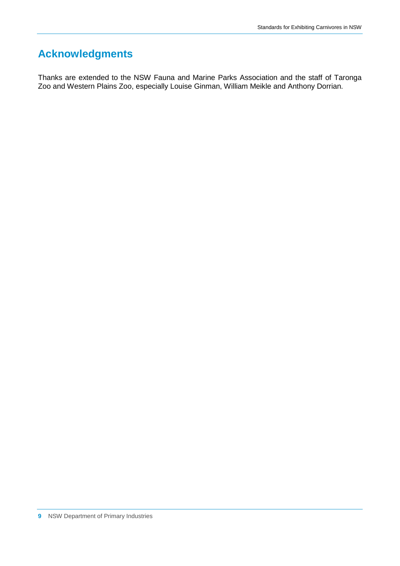## **Acknowledgments**

Thanks are extended to the NSW Fauna and Marine Parks Association and the staff of Taronga Zoo and Western Plains Zoo, especially Louise Ginman, William Meikle and Anthony Dorrian.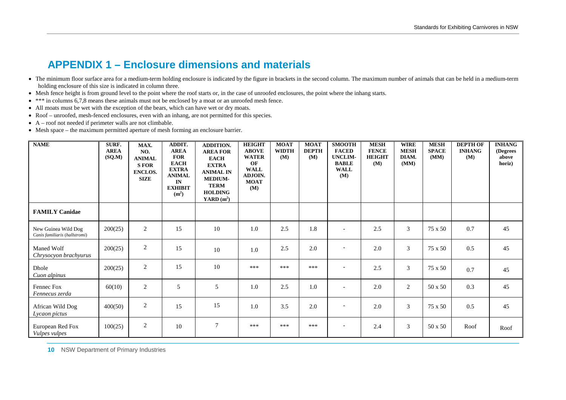## **APPENDIX 1 – Enclosure dimensions and materials**

- The minimum floor surface area for a medium-term holding enclosure is indicated by the figure in brackets in the second column. The maximum number of animals that can be held in a medium-term holding enclosure of this size is indicated in column three.
- Mesh fence height is from ground level to the point where the roof starts or, in the case of unroofed enclosures, the point where the inhang starts.
- \*\*\* in columns 6,7,8 means these animals must not be enclosed by a moat or an unroofed mesh fence.
- All moats must be wet with the exception of the bears, which can have wet or dry moats.
- Roof unroofed, mesh-fenced enclosures, even with an inhang, are not permitted for this species.
- A roof not needed if perimeter walls are not climbable.
- Mesh space the maximum permitted aperture of mesh forming an enclosure barrier.

| <b>NAME</b>                                          | SURF.<br><b>AREA</b><br>(SQ.M) | MAX.<br>NO.<br><b>ANIMAL</b><br><b>SFOR</b><br><b>ENCLOS.</b><br><b>SIZE</b> | ADDIT.<br><b>AREA</b><br><b>FOR</b><br><b>EACH</b><br><b>EXTRA</b><br><b>ANIMAL</b><br>IN<br><b>EXHIBIT</b><br>(m <sup>2</sup> ) | <b>ADDITION.</b><br><b>AREA FOR</b><br><b>EACH</b><br><b>EXTRA</b><br><b>ANIMAL IN</b><br><b>MEDIUM-</b><br><b>TERM</b><br><b>HOLDING</b><br>YARD $(m^2)$ | <b>HEIGHT</b><br><b>ABOVE</b><br><b>WATER</b><br>OF<br><b>WALL</b><br>ADJOIN.<br><b>MOAT</b><br>(M) | <b>MOAT</b><br><b>WIDTH</b><br>(M) | <b>MOAT</b><br><b>DEPTH</b><br>(M) | <b>SMOOTH</b><br><b>FACED</b><br><b>UNCLIM-</b><br><b>BABLE</b><br><b>WALL</b><br>(M) | <b>MESH</b><br><b>FENCE</b><br><b>HEIGHT</b><br>(M) | <b>WIRE</b><br><b>MESH</b><br>DIAM.<br>(MM) | <b>MESH</b><br><b>SPACE</b><br>(MM) | <b>DEPTH OF</b><br><b>INHANG</b><br>(M) | <b>INHANG</b><br>(Degrees<br>above<br>horiz) |
|------------------------------------------------------|--------------------------------|------------------------------------------------------------------------------|----------------------------------------------------------------------------------------------------------------------------------|-----------------------------------------------------------------------------------------------------------------------------------------------------------|-----------------------------------------------------------------------------------------------------|------------------------------------|------------------------------------|---------------------------------------------------------------------------------------|-----------------------------------------------------|---------------------------------------------|-------------------------------------|-----------------------------------------|----------------------------------------------|
| <b>FAMILY Canidae</b>                                |                                |                                                                              |                                                                                                                                  |                                                                                                                                                           |                                                                                                     |                                    |                                    |                                                                                       |                                                     |                                             |                                     |                                         |                                              |
| New Guinea Wild Dog<br>Canis familiaris (hallstromi) | 200(25)                        | $\overline{2}$                                                               | 15                                                                                                                               | 10                                                                                                                                                        | 1.0                                                                                                 | 2.5                                | 1.8                                | $\overline{\phantom{a}}$                                                              | 2.5                                                 | 3                                           | $75 \times 50$                      | 0.7                                     | 45                                           |
| Maned Wolf<br>Chrysocyon brachyurus                  | 200(25)                        | $\overline{2}$                                                               | 15                                                                                                                               | 10                                                                                                                                                        | 1.0                                                                                                 | 2.5                                | 2.0                                | $\overline{\phantom{a}}$                                                              | 2.0                                                 | 3                                           | $75 \times 50$                      | 0.5                                     | 45                                           |
| Dhole<br>Cuon alpinus                                | 200(25)                        | $\overline{2}$                                                               | 15                                                                                                                               | 10                                                                                                                                                        | ***                                                                                                 | ***                                | ***                                | ٠                                                                                     | 2.5                                                 | 3                                           | $75 \times 50$                      | 0.7                                     | 45                                           |
| Fennec Fox<br>Fennecus zerda                         | 60(10)                         | $\overline{2}$                                                               | 5                                                                                                                                | 5                                                                                                                                                         | 1.0                                                                                                 | 2.5                                | 1.0                                | $\overline{\phantom{a}}$                                                              | 2.0                                                 | 2                                           | 50 x 50                             | 0.3                                     | 45                                           |
| African Wild Dog<br>Lycaon pictus                    | 400(50)                        | $\overline{2}$                                                               | 15                                                                                                                               | 15                                                                                                                                                        | 1.0                                                                                                 | 3.5                                | 2.0                                | $\overline{\phantom{a}}$                                                              | 2.0                                                 | 3                                           | 75 x 50                             | 0.5                                     | 45                                           |
| European Red Fox<br>Vulpes vulpes                    | 100(25)                        | $\overline{2}$                                                               | 10                                                                                                                               | $7\phantom{.0}$                                                                                                                                           | ***                                                                                                 | ***                                | ***                                | $\overline{\phantom{0}}$                                                              | 2.4                                                 | 3                                           | $50 \times 50$                      | Roof                                    | Roof                                         |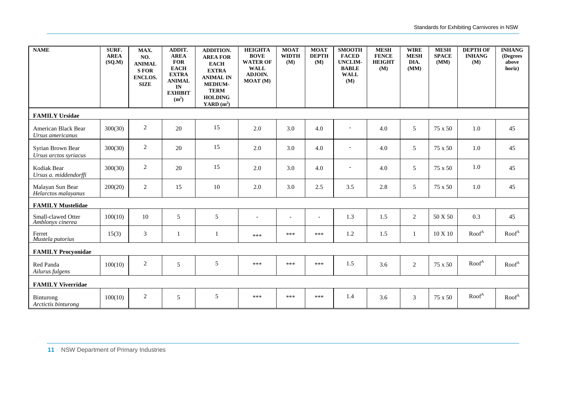| <b>NAME</b>                                   | SURF.<br><b>AREA</b><br>(SQ.M) | MAX.<br>NO.<br><b>ANIMAL</b><br><b>SFOR</b><br><b>ENCLOS.</b><br><b>SIZE</b> | ADDIT.<br><b>AREA</b><br><b>FOR</b><br><b>EACH</b><br><b>EXTRA</b><br><b>ANIMAL</b><br>IN<br><b>EXHIBIT</b><br>(m <sup>2</sup> ) | <b>ADDITION.</b><br><b>AREA FOR</b><br><b>EACH</b><br><b>EXTRA</b><br><b>ANIMAL IN</b><br><b>MEDIUM-</b><br><b>TERM</b><br><b>HOLDING</b><br>YARD $(m^2)$ | <b>HEIGHTA</b><br><b>BOVE</b><br><b>WATER OF</b><br><b>WALL</b><br>ADJOIN.<br><b>MOAT</b> (M) | <b>MOAT</b><br><b>WIDTH</b><br>(M) | <b>MOAT</b><br><b>DEPTH</b><br>(M) | <b>SMOOTH</b><br><b>FACED</b><br><b>UNCLIM-</b><br><b>BABLE</b><br><b>WALL</b><br>(M) | <b>MESH</b><br><b>FENCE</b><br><b>HEIGHT</b><br>(M) | <b>WIRE</b><br><b>MESH</b><br>DIA.<br>(MM) | <b>MESH</b><br><b>SPACE</b><br>(MM) | <b>DEPTH OF</b><br><b>INHANG</b><br>(M) | <b>INHANG</b><br>(Degrees<br>above<br>horiz) |
|-----------------------------------------------|--------------------------------|------------------------------------------------------------------------------|----------------------------------------------------------------------------------------------------------------------------------|-----------------------------------------------------------------------------------------------------------------------------------------------------------|-----------------------------------------------------------------------------------------------|------------------------------------|------------------------------------|---------------------------------------------------------------------------------------|-----------------------------------------------------|--------------------------------------------|-------------------------------------|-----------------------------------------|----------------------------------------------|
| <b>FAMILY Ursidae</b>                         |                                |                                                                              |                                                                                                                                  |                                                                                                                                                           |                                                                                               |                                    |                                    |                                                                                       |                                                     |                                            |                                     |                                         |                                              |
| American Black Bear<br>Ursus americanus       | 300(30)                        | $\sqrt{2}$                                                                   | 20                                                                                                                               | 15                                                                                                                                                        | 2.0                                                                                           | 3.0                                | 4.0                                | $\blacksquare$                                                                        | 4.0                                                 | 5                                          | 75 x 50                             | 1.0                                     | 45                                           |
| Syrian Brown Bear<br>Ursus arctos syriacus    | 300(30)                        | 2                                                                            | 20                                                                                                                               | 15                                                                                                                                                        | 2.0                                                                                           | 3.0                                | 4.0                                | $\overline{\phantom{a}}$                                                              | 4.0                                                 | 5                                          | 75 x 50                             | 1.0                                     | 45                                           |
| Kodiak Bear<br>Ursus a. middendorffi          | 300(30)                        | 2                                                                            | 20                                                                                                                               | 15                                                                                                                                                        | 2.0                                                                                           | 3.0                                | 4.0                                | $\overline{\phantom{a}}$                                                              | 4.0                                                 | 5                                          | 75 x 50                             | 1.0                                     | 45                                           |
| Malayan Sun Bear<br>Helarctos malayanus       | 200(20)                        | 2                                                                            | 15                                                                                                                               | 10                                                                                                                                                        | 2.0                                                                                           | 3.0                                | 2.5                                | 3.5                                                                                   | 2.8                                                 | 5                                          | 75 x 50                             | 1.0                                     | 45                                           |
| <b>FAMILY Mustelidae</b>                      |                                |                                                                              |                                                                                                                                  |                                                                                                                                                           |                                                                                               |                                    |                                    |                                                                                       |                                                     |                                            |                                     |                                         |                                              |
| <b>Small-clawed Otter</b><br>Amblonyx cinerea | 100(10)                        | 10                                                                           | 5                                                                                                                                | 5                                                                                                                                                         | $\overline{\phantom{a}}$                                                                      | $\overline{\phantom{a}}$           | $\overline{a}$                     | 1.3                                                                                   | 1.5                                                 | 2                                          | 50 X 50                             | 0.3                                     | 45                                           |
| Ferret<br>Mustela putorius                    | 15(3)                          | $\mathfrak{Z}$                                                               | 1                                                                                                                                | 1                                                                                                                                                         | ***                                                                                           | ***                                | ***                                | $1.2\,$                                                                               | 1.5                                                 | 1                                          | $10 \times 10$                      | Root <sup>A</sup>                       | Root <sup>A</sup>                            |
| <b>FAMILY Procyonidae</b>                     |                                |                                                                              |                                                                                                                                  |                                                                                                                                                           |                                                                                               |                                    |                                    |                                                                                       |                                                     |                                            |                                     |                                         |                                              |
| Red Panda<br>Ailurus fulgens                  | 100(10)                        | $\sqrt{2}$                                                                   | 5                                                                                                                                | 5                                                                                                                                                         | ***                                                                                           | ***                                | ***                                | 1.5                                                                                   | 3.6                                                 | 2                                          | 75 x 50                             | Root <sup>A</sup>                       | Root <sup>A</sup>                            |
| <b>FAMILY Viverridae</b>                      |                                |                                                                              |                                                                                                                                  |                                                                                                                                                           |                                                                                               |                                    |                                    |                                                                                       |                                                     |                                            |                                     |                                         |                                              |
| Binturong<br>Arctictis binturong              | 100(10)                        | 2                                                                            | 5                                                                                                                                | 5                                                                                                                                                         | ***                                                                                           | ***                                | ***                                | 1.4                                                                                   | 3.6                                                 | 3                                          | 75 x 50                             | Root <sup>A</sup>                       | Root <sup>A</sup>                            |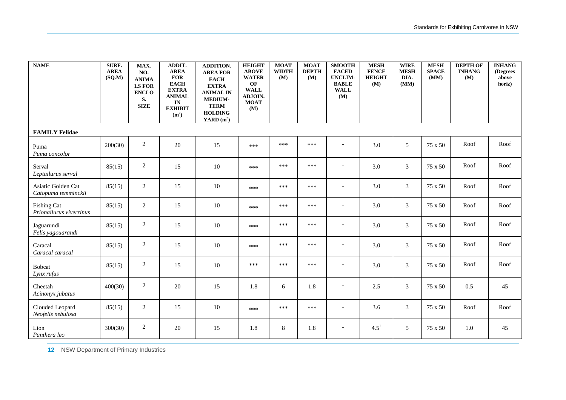| <b>NAME</b>                                   | SURF.<br><b>AREA</b><br>(SQ.M) | MAX.<br>NO.<br><b>ANIMA</b><br><b>LS FOR</b><br><b>ENCLO</b><br>S.<br><b>SIZE</b> | ADDIT.<br><b>AREA</b><br><b>FOR</b><br><b>EACH</b><br><b>EXTRA</b><br><b>ANIMAL</b><br>IN<br><b>EXHIBIT</b><br>(m <sup>2</sup> ) | <b>ADDITION.</b><br><b>AREA FOR</b><br><b>EACH</b><br><b>EXTRA</b><br><b>ANIMAL IN</b><br><b>MEDIUM-</b><br><b>TERM</b><br><b>HOLDING</b><br>YARD $(m^2)$ | <b>HEIGHT</b><br><b>ABOVE</b><br><b>WATER</b><br>OF<br><b>WALL</b><br>ADJOIN.<br><b>MOAT</b><br>(M) | <b>MOAT</b><br><b>WIDTH</b><br>(M) | <b>MOAT</b><br><b>DEPTH</b><br>(M) | <b>SMOOTH</b><br><b>FACED</b><br><b>UNCLIM-</b><br><b>BABLE</b><br><b>WALL</b><br>(M) | <b>MESH</b><br><b>FENCE</b><br><b>HEIGHT</b><br>(M) | <b>WIRE</b><br><b>MESH</b><br>DIA.<br>(MM) | <b>MESH</b><br><b>SPACE</b><br>(MM) | <b>DEPTH OF</b><br><b>INHANG</b><br>(M) | <b>INHANG</b><br>(Degrees<br>above<br>horiz) |
|-----------------------------------------------|--------------------------------|-----------------------------------------------------------------------------------|----------------------------------------------------------------------------------------------------------------------------------|-----------------------------------------------------------------------------------------------------------------------------------------------------------|-----------------------------------------------------------------------------------------------------|------------------------------------|------------------------------------|---------------------------------------------------------------------------------------|-----------------------------------------------------|--------------------------------------------|-------------------------------------|-----------------------------------------|----------------------------------------------|
| <b>FAMILY Felidae</b>                         |                                |                                                                                   |                                                                                                                                  |                                                                                                                                                           |                                                                                                     |                                    |                                    |                                                                                       |                                                     |                                            |                                     |                                         |                                              |
| Puma<br>Puma concolor                         | 200(30)                        | $\sqrt{2}$                                                                        | 20                                                                                                                               | 15                                                                                                                                                        | ***                                                                                                 | ***                                | ***                                | $\overline{\phantom{a}}$                                                              | 3.0                                                 | $\sqrt{5}$                                 | 75 x 50                             | Roof                                    | Roof                                         |
| Serval<br>Leptailurus serval                  | 85(15)                         | $\overline{c}$                                                                    | 15                                                                                                                               | 10                                                                                                                                                        | ***                                                                                                 | ***                                | ***                                | $\overline{\phantom{a}}$                                                              | 3.0                                                 | $\mathfrak{Z}$                             | 75 x 50                             | Roof                                    | Roof                                         |
| Asiatic Golden Cat<br>Catopuma temminckii     | 85(15)                         | 2                                                                                 | 15                                                                                                                               | 10                                                                                                                                                        | ***                                                                                                 | ***                                | ***                                | $\overline{\phantom{a}}$                                                              | 3.0                                                 | 3                                          | 75 x 50                             | Roof                                    | Roof                                         |
| <b>Fishing Cat</b><br>Prionailurus viverrinus | 85(15)                         | 2                                                                                 | 15                                                                                                                               | 10                                                                                                                                                        | ***                                                                                                 | ***                                | ***                                | $\overline{a}$                                                                        | 3.0                                                 | 3                                          | 75 x 50                             | Roof                                    | Roof                                         |
| Jaguarundi<br>Felis yagouarandi               | 85(15)                         | $\overline{c}$                                                                    | 15                                                                                                                               | 10                                                                                                                                                        | ***                                                                                                 | ***                                | ***                                | $\overline{\phantom{a}}$                                                              | 3.0                                                 | 3                                          | 75 x 50                             | Roof                                    | Roof                                         |
| Caracal<br>Caracal caracal                    | 85(15)                         | 2                                                                                 | 15                                                                                                                               | 10                                                                                                                                                        | ***                                                                                                 | ***                                | ***                                | $\overline{\phantom{a}}$                                                              | 3.0                                                 | $\overline{3}$                             | 75 x 50                             | Roof                                    | Roof                                         |
| Bobcat<br>Lynx rufus                          | 85(15)                         | 2                                                                                 | 15                                                                                                                               | 10                                                                                                                                                        | ***                                                                                                 | ***                                | ***                                | $\overline{\phantom{a}}$                                                              | 3.0                                                 | 3                                          | 75 x 50                             | Roof                                    | Roof                                         |
| Cheetah<br>Acinonyx jubatus                   | 400(30)                        | $\sqrt{2}$                                                                        | 20                                                                                                                               | 15                                                                                                                                                        | 1.8                                                                                                 | 6                                  | 1.8                                | $\overline{\phantom{a}}$                                                              | 2.5                                                 | 3                                          | 75 x 50                             | 0.5                                     | 45                                           |
| Clouded Leopard<br>Neofelis nebulosa          | 85(15)                         | $\overline{c}$                                                                    | 15                                                                                                                               | 10                                                                                                                                                        | ***                                                                                                 | ***                                | ***                                | $\overline{\phantom{a}}$                                                              | 3.6                                                 | 3                                          | 75 x 50                             | Roof                                    | Roof                                         |
| Lion<br>Panthera leo                          | 300(30)                        | 2                                                                                 | 20                                                                                                                               | 15                                                                                                                                                        | 1.8                                                                                                 | 8                                  | 1.8                                | $\overline{\phantom{a}}$                                                              | $4.5^{1}$                                           | 5                                          | 75 x 50                             | 1.0                                     | 45                                           |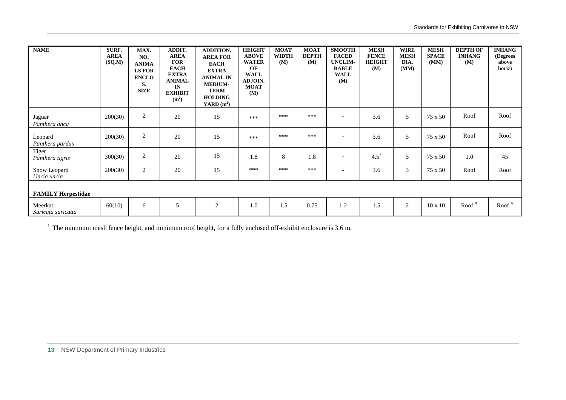| <b>NAME</b>                   | SURF.<br><b>AREA</b><br>(SQM) | MAX.<br>NO.<br><b>ANIMA</b><br><b>LS FOR</b><br><b>ENCLO</b><br>S.<br><b>SIZE</b> | ADDIT.<br><b>AREA</b><br><b>FOR</b><br><b>EACH</b><br><b>EXTRA</b><br><b>ANIMAL</b><br>IN<br><b>EXHIBIT</b><br>(m <sup>2</sup> ) | <b>ADDITION.</b><br><b>AREA FOR</b><br><b>EACH</b><br><b>EXTRA</b><br><b>ANIMAL IN</b><br><b>MEDIUM-</b><br><b>TERM</b><br><b>HOLDING</b><br>YARD $(m^2)$ | <b>HEIGHT</b><br><b>ABOVE</b><br><b>WATER</b><br>OF<br><b>WALL</b><br><b>ADJOIN.</b><br><b>MOAT</b><br>(M) | <b>MOAT</b><br><b>WIDTH</b><br>(M) | <b>MOAT</b><br><b>DEPTH</b><br>(M) | <b>SMOOTH</b><br><b>FACED</b><br><b>UNCLIM-</b><br><b>BABLE</b><br><b>WALL</b><br>(M) | <b>MESH</b><br><b>FENCE</b><br><b>HEIGHT</b><br>(M) | <b>WIRE</b><br><b>MESH</b><br>DIA.<br>(MM) | <b>MESH</b><br><b>SPACE</b><br>(MM) | <b>DEPTH OF</b><br><b>INHANG</b><br>(M) | <b>INHANG</b><br>(Degrees<br>above<br>horiz) |
|-------------------------------|-------------------------------|-----------------------------------------------------------------------------------|----------------------------------------------------------------------------------------------------------------------------------|-----------------------------------------------------------------------------------------------------------------------------------------------------------|------------------------------------------------------------------------------------------------------------|------------------------------------|------------------------------------|---------------------------------------------------------------------------------------|-----------------------------------------------------|--------------------------------------------|-------------------------------------|-----------------------------------------|----------------------------------------------|
| Jaguar<br>Panthera onca       | 200(30)                       | $\sqrt{2}$                                                                        | 20                                                                                                                               | 15                                                                                                                                                        | ***                                                                                                        | ***                                | ***                                | $\overline{\phantom{a}}$                                                              | 3.6                                                 | 5                                          | 75 x 50                             | Roof                                    | Roof                                         |
| Leopard<br>Panthera pardus    | 200(30)                       | $\sqrt{2}$                                                                        | 20                                                                                                                               | 15                                                                                                                                                        | ***                                                                                                        | ***                                | ***                                | $\overline{\phantom{0}}$                                                              | 3.6                                                 | 5                                          | 75 x 50                             | Roof                                    | Roof                                         |
| Tiger<br>Panthera tigris      | 300(30)                       | $\overline{c}$                                                                    | 20                                                                                                                               | 15                                                                                                                                                        | 1.8                                                                                                        | $\,8\,$                            | 1.8                                | $\overline{\phantom{a}}$                                                              | $4.5^{1}$                                           | 5                                          | 75 x 50                             | 1.0                                     | 45                                           |
| Snow Leopard<br>Uncia uncia   | 200(30)                       | $\overline{2}$                                                                    | 20                                                                                                                               | 15                                                                                                                                                        | ***                                                                                                        | ***                                | ***                                | $\overline{\phantom{0}}$                                                              | 3.6                                                 | 3                                          | 75 x 50                             | Roof                                    | Roof                                         |
| <b>FAMILY Herpestidae</b>     |                               |                                                                                   |                                                                                                                                  |                                                                                                                                                           |                                                                                                            |                                    |                                    |                                                                                       |                                                     |                                            |                                     |                                         |                                              |
| Meerkat<br>Suricata suricatta | 60(10)                        | 6                                                                                 | 5                                                                                                                                | $\overline{2}$                                                                                                                                            | 1.0                                                                                                        | 1.5                                | 0.75                               | 1.2                                                                                   | 1.5                                                 | 2                                          | $10 \times 10$                      | Root <sup>A</sup>                       | Root <sup>A</sup>                            |

<sup>1</sup> The minimum mesh fence height, and minimum roof height, for a fully enclosed off-exhibit enclosure is 3.6 m.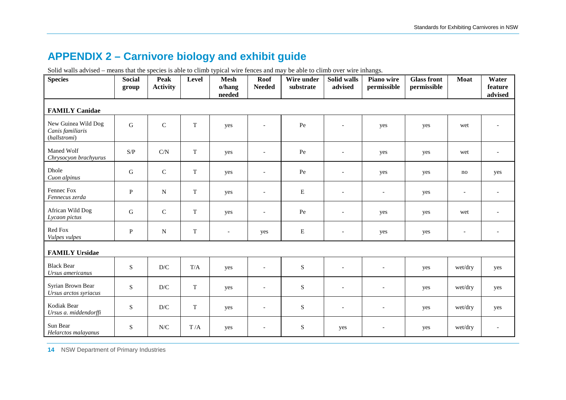## **APPENDIX 2 – Carnivore biology and exhibit guide**

Solid walls advised – means that the species is able to climb typical wire fences and may be able to climb over wire inhangs.

| <b>Species</b>                                          | <b>Social</b><br>group | Peak<br><b>Activity</b>  | Level       | <b>Mesh</b><br>o/hang<br>needed | <b>Roof</b><br><b>Needed</b> | Wire under<br>substrate | Solid walls<br>advised   | Piano wire<br>permissible | <b>Glass front</b><br>permissible | <b>Moat</b>              | Water<br>feature<br>advised |
|---------------------------------------------------------|------------------------|--------------------------|-------------|---------------------------------|------------------------------|-------------------------|--------------------------|---------------------------|-----------------------------------|--------------------------|-----------------------------|
| <b>FAMILY Canidae</b>                                   |                        |                          |             |                                 |                              |                         |                          |                           |                                   |                          |                             |
| New Guinea Wild Dog<br>Canis familiaris<br>(hallstromi) | ${\bf G}$              | $\mathbf C$              | $\mathbf T$ | yes                             | $\overline{a}$               | $\rm Pe$                | $\overline{a}$           | yes                       | yes                               | wet                      |                             |
| Maned Wolf<br>Chrysocyon brachyurus                     | S/P                    | C/N                      | T           | yes                             | $\overline{\phantom{a}}$     | Pe                      | $\blacksquare$           | yes                       | yes                               | wet                      | $\overline{\phantom{a}}$    |
| Dhole<br>Cuon alpinus                                   | ${\bf G}$              | $\mathbf C$              | $\mathbf T$ | yes                             | $\overline{a}$               | Pe                      | $\overline{\phantom{a}}$ | yes                       | yes                               | no                       | yes                         |
| Fennec Fox<br>Fennecus zerda                            | $\mathbf{P}$           | ${\bf N}$                | $\mathbf T$ | yes                             | $\overline{\phantom{a}}$     | ${\bf E}$               | $\overline{\phantom{a}}$ | $\overline{\phantom{a}}$  | yes                               | $\overline{\phantom{m}}$ | $\overline{\phantom{a}}$    |
| African Wild Dog<br>Lycaon pictus                       | ${\bf G}$              | $\mathsf{C}$             | $\mathbf T$ | yes                             | $\blacksquare$               | $\rm Pe$                | $\overline{\phantom{a}}$ | yes                       | yes                               | wet                      |                             |
| Red Fox<br>Vulpes vulpes                                | $\mathbf{P}$           | $\mathbf N$              | T           | $\overline{\phantom{a}}$        | yes                          | $\mathbf E$             | $\overline{\phantom{0}}$ | yes                       | yes                               | $\overline{\phantom{m}}$ |                             |
| <b>FAMILY Ursidae</b>                                   |                        |                          |             |                                 |                              |                         |                          |                           |                                   |                          |                             |
| <b>Black Bear</b><br>Ursus americanus                   | S                      | $\mathbf{D}/\mathbf{C}$  | T/A         | yes                             | $\overline{\phantom{a}}$     | $\mathbf S$             | $\overline{a}$           | $\overline{a}$            | yes                               | wet/dry                  | yes                         |
| Syrian Brown Bear<br>Ursus arctos syriacus              | S                      | D/C                      | $\mathbf T$ | yes                             | $\overline{\phantom{a}}$     | S                       | $\blacksquare$           | $\overline{\phantom{a}}$  | yes                               | wet/dry                  | yes                         |
| Kodiak Bear<br>Ursus a. middendorffi                    | S                      | D/C                      | T           | yes                             | $\overline{\phantom{a}}$     | S                       | $\overline{\phantom{a}}$ | $\overline{\phantom{a}}$  | yes                               | wet/dry                  | yes                         |
| Sun Bear<br>Helarctos malayanus                         | S                      | ${\rm N\hspace{-1pt}}/C$ | T/A         | yes                             |                              | $\mathbf S$             | yes                      | $\overline{\phantom{a}}$  | yes                               | wet/dry                  |                             |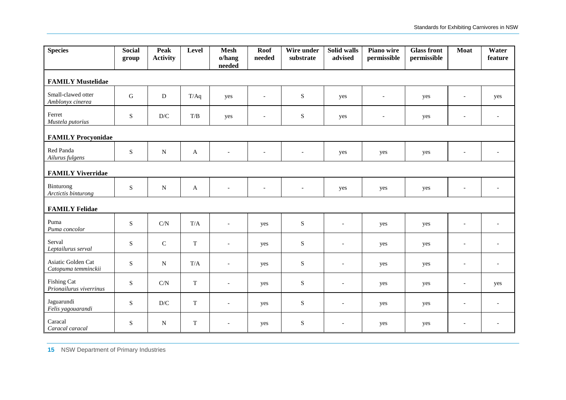| <b>Species</b>                                | <b>Social</b><br>group | Peak<br><b>Activity</b> | Level        | <b>Mesh</b><br>o/hang<br>needed | Roof<br>needed           | Wire under<br>substrate  | Solid walls<br>advised   | Piano wire<br>permissible | <b>Glass front</b><br>permissible | Moat                     | Water<br>feature         |
|-----------------------------------------------|------------------------|-------------------------|--------------|---------------------------------|--------------------------|--------------------------|--------------------------|---------------------------|-----------------------------------|--------------------------|--------------------------|
| <b>FAMILY Mustelidae</b>                      |                        |                         |              |                                 |                          |                          |                          |                           |                                   |                          |                          |
| Small-clawed otter<br>Amblonyx cinerea        | ${\bf G}$              | ${\bf D}$               | T/Aq         | yes                             | $\bar{a}$                | ${\bf S}$                | yes                      | $\sim$                    | yes                               | $\overline{\phantom{a}}$ | yes                      |
| Ferret<br>Mustela putorius                    | ${\bf S}$              | $\mathbf{D}/\mathbf{C}$ | T/B          | yes                             | $\overline{\phantom{a}}$ | $\mathbf S$              | yes                      | $\overline{\phantom{0}}$  | yes                               | $\overline{\phantom{a}}$ |                          |
| <b>FAMILY Procyonidae</b>                     |                        |                         |              |                                 |                          |                          |                          |                           |                                   |                          |                          |
| Red Panda<br>Ailurus fulgens                  | S                      | ${\bf N}$               | $\mathbf{A}$ | $\sim$                          | $\bar{a}$                | $\overline{\phantom{a}}$ | yes                      | yes                       | yes                               | $\overline{\phantom{a}}$ |                          |
| <b>FAMILY Viverridae</b>                      |                        |                         |              |                                 |                          |                          |                          |                           |                                   |                          |                          |
| Binturong<br>Arctictis binturong              | ${\bf S}$              | ${\bf N}$               | $\mathbf{A}$ |                                 |                          |                          | yes                      | yes                       | yes                               |                          |                          |
| <b>FAMILY Felidae</b>                         |                        |                         |              |                                 |                          |                          |                          |                           |                                   |                          |                          |
| Puma<br>Puma concolor                         | ${\bf S}$              | C/N                     | $\rm T/A$    | $\overline{a}$                  | yes                      | $\mathbf S$              | $\overline{a}$           | yes                       | yes                               | $\overline{a}$           |                          |
| Serval<br>Leptailurus serval                  | ${\bf S}$              | $\mathbf C$             | T            | $\overline{\phantom{a}}$        | yes                      | ${\bf S}$                | $\overline{\phantom{a}}$ | yes                       | yes                               | $\overline{\phantom{a}}$ |                          |
| Asiatic Golden Cat<br>Catopuma temminckii     | S                      | N                       | T/A          | $\overline{\phantom{a}}$        | yes                      | ${\bf S}$                | $\overline{\phantom{a}}$ | yes                       | yes                               | $\overline{\phantom{a}}$ | $\overline{\phantom{a}}$ |
| <b>Fishing Cat</b><br>Prionailurus viverrinus | S                      | $\mathrm{C/N}$          | $\mathbf T$  | $\sim$                          | yes                      | ${\bf S}$                | $\overline{a}$           | yes                       | yes                               | $\overline{\phantom{a}}$ | yes                      |
| Jaguarundi<br>Felis yagouarandi               | S                      | D/C                     | T            | $\overline{\phantom{a}}$        | yes                      | $\mathbf S$              | $\overline{a}$           | yes                       | yes                               | $\overline{a}$           |                          |
| Caracal<br>Caracal caracal                    | ${\bf S}$              | $\mathbf N$             | $\mathbf T$  | $\overline{a}$                  | yes                      | ${\bf S}$                | $\blacksquare$           | yes                       | yes                               | $\overline{\phantom{a}}$ |                          |